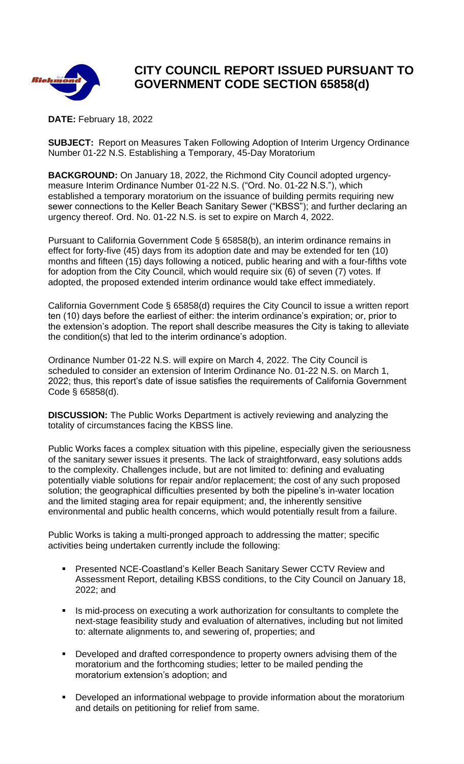

## **CITY COUNCIL REPORT ISSUED PURSUANT TO GOVERNMENT CODE SECTION 65858(d)**

**DATE:** February 18, 2022

**SUBJECT:** Report on Measures Taken Following Adoption of Interim Urgency Ordinance Number 01-22 N.S. Establishing a Temporary, 45-Day Moratorium

**BACKGROUND:** On January 18, 2022, the Richmond City Council adopted urgencymeasure Interim Ordinance Number 01-22 N.S. ("Ord. No. 01-22 N.S."), which established a temporary moratorium on the issuance of building permits requiring new sewer connections to the Keller Beach Sanitary Sewer ("KBSS"); and further declaring an urgency thereof. Ord. No. 01-22 N.S. is set to expire on March 4, 2022.

Pursuant to California Government Code § 65858(b), an interim ordinance remains in effect for forty-five (45) days from its adoption date and may be extended for ten (10) months and fifteen (15) days following a noticed, public hearing and with a four-fifths vote for adoption from the City Council, which would require six (6) of seven (7) votes. If adopted, the proposed extended interim ordinance would take effect immediately.

California Government Code § 65858(d) requires the City Council to issue a written report ten (10) days before the earliest of either: the interim ordinance's expiration; or, prior to the extension's adoption. The report shall describe measures the City is taking to alleviate the condition(s) that led to the interim ordinance's adoption.

Ordinance Number 01-22 N.S. will expire on March 4, 2022. The City Council is scheduled to consider an extension of Interim Ordinance No. 01-22 N.S. on March 1, 2022; thus, this report's date of issue satisfies the requirements of California Government Code § 65858(d).

**DISCUSSION:** The Public Works Department is actively reviewing and analyzing the totality of circumstances facing the KBSS line.

Public Works faces a complex situation with this pipeline, especially given the seriousness of the sanitary sewer issues it presents. The lack of straightforward, easy solutions adds to the complexity. Challenges include, but are not limited to: defining and evaluating potentially viable solutions for repair and/or replacement; the cost of any such proposed solution; the geographical difficulties presented by both the pipeline's in-water location and the limited staging area for repair equipment; and, the inherently sensitive environmental and public health concerns, which would potentially result from a failure.

Public Works is taking a multi-pronged approach to addressing the matter; specific activities being undertaken currently include the following:

- Presented NCE-Coastland's Keller Beach Sanitary Sewer CCTV Review and Assessment Report, detailing KBSS conditions, to the City Council on January 18, 2022; and
- Is mid-process on executing a work authorization for consultants to complete the next-stage feasibility study and evaluation of alternatives, including but not limited to: alternate alignments to, and sewering of, properties; and
- Developed and drafted correspondence to property owners advising them of the moratorium and the forthcoming studies; letter to be mailed pending the moratorium extension's adoption; and
- Developed an informational webpage to provide information about the moratorium and details on petitioning for relief from same.